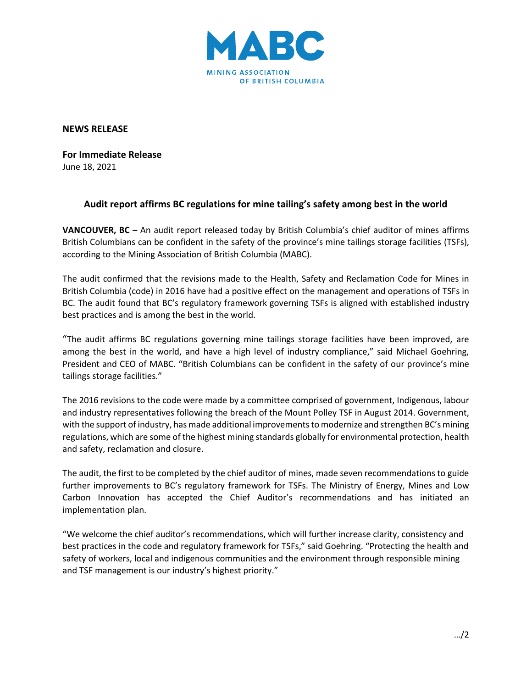

**NEWS RELEASE**

**For Immediate Release** June 18, 2021

## **Audit report affirms BC regulations for mine tailing's safety among best in the world**

**VANCOUVER, BC** – An audit report released today by British Columbia's chief auditor of mines affirms British Columbians can be confident in the safety of the province's mine tailings storage facilities (TSFs), according to the Mining Association of British Columbia (MABC).

The audit confirmed that the revisions made to the Health, Safety and Reclamation Code for Mines in British Columbia (code) in 2016 have had a positive effect on the management and operations of TSFs in BC. The audit found that BC's regulatory framework governing TSFs is aligned with established industry best practices and is among the best in the world.

"The audit affirms BC regulations governing mine tailings storage facilities have been improved, are among the best in the world, and have a high level of industry compliance," said Michael Goehring, President and CEO of MABC. "British Columbians can be confident in the safety of our province's mine tailings storage facilities."

The 2016 revisions to the code were made by a committee comprised of government, Indigenous, labour and industry representatives following the breach of the Mount Polley TSF in August 2014. Government, with the support of industry, has made additional improvements to modernize and strengthen BC's mining regulations, which are some of the highest mining standards globally for environmental protection, health and safety, reclamation and closure.

The audit, the first to be completed by the chief auditor of mines, made seven recommendations to guide further improvements to BC's regulatory framework for TSFs. The Ministry of Energy, Mines and Low Carbon Innovation has accepted the Chief Auditor's recommendations and has initiated an implementation plan.

"We welcome the chief auditor's recommendations, which will further increase clarity, consistency and best practices in the code and regulatory framework for TSFs," said Goehring. "Protecting the health and safety of workers, local and indigenous communities and the environment through responsible mining and TSF management is our industry's highest priority."